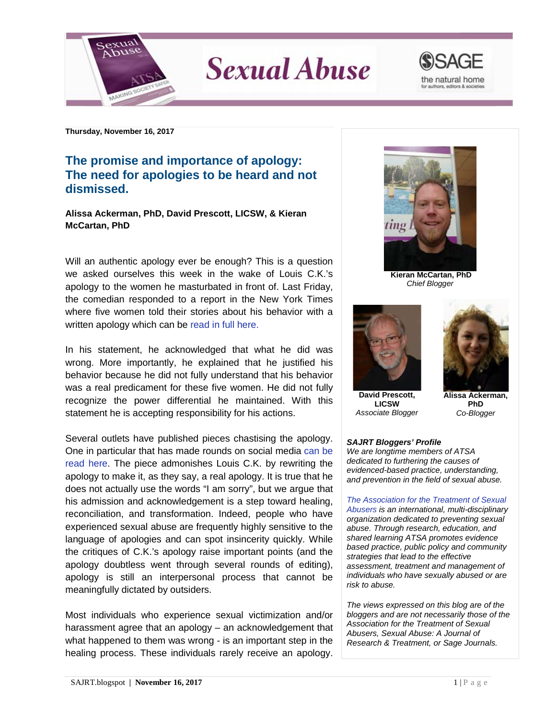

**Sexual Abuse** 



**Thursday, November 16, 2017**

## **The promise and importance of apology: The need for apologies to be heard and not dismissed.**

**Alissa Ackerman, PhD, David Prescott, LICSW, & Kieran McCartan, PhD**

Will an authentic apology ever be enough? This is a question we asked ourselves this week in the wake of Louis C.K.'s apology to the women he masturbated in front of. Last Friday, the comedian responded to a report in the New York Times where five women told their stories about his behavior with a written apology which can be [read in full here.](https://www.nytimes.com/2017/11/10/arts/television/louis-ck-statement.html)

In his statement, he acknowledged that what he did was wrong. More importantly, he explained that he justified his behavior because he did not fully understand that his behavior was a real predicament for these five women. He did not fully recognize the power differential he maintained. With this statement he is accepting responsibility for his actions.

Several outlets have published pieces chastising the apology. One in particular that has made rounds on social media [can be](https://qz.com/1126593/we-edited-louis-cks-statement-on-sexual-misconduct-to-make-it-a-real-apology/)  [read here.](https://qz.com/1126593/we-edited-louis-cks-statement-on-sexual-misconduct-to-make-it-a-real-apology/) The piece admonishes Louis C.K. by rewriting the apology to make it, as they say, a real apology. It is true that he does not actually use the words "I am sorry", but we argue that his admission and acknowledgement is a step toward healing, reconciliation, and transformation. Indeed, people who have experienced sexual abuse are frequently highly sensitive to the language of apologies and can spot insincerity quickly. While the critiques of C.K.'s apology raise important points (and the apology doubtless went through several rounds of editing), apology is still an interpersonal process that cannot be meaningfully dictated by outsiders.

Most individuals who experience sexual victimization and/or harassment agree that an apology – an acknowledgement that what happened to them was wrong - is an important step in the healing process. These individuals rarely receive an apology.



**Kieran McCartan, PhD** *Chief Blogger*



**David Prescott, LICSW** *Associate Blogger*



**Alissa Ackerman, PhD** *Co-Blogger*

## *SAJRT Bloggers' Profile*

*We are longtime members of ATSA dedicated to furthering the causes of evidenced-based practice, understanding, and prevention in the field of sexual abuse.*

*[The Association for the Treatment of Sexual](http://atsa.com/)  [Abusers](http://atsa.com/) is an international, multi-disciplinary organization dedicated to preventing sexual abuse. Through research, education, and shared learning ATSA promotes evidence based practice, public policy and community strategies that lead to the effective assessment, treatment and management of individuals who have sexually abused or are risk to abuse.* 

*The views expressed on this blog are of the bloggers and are not necessarily those of the Association for the Treatment of Sexual Abusers, Sexual Abuse: A Journal of Research & Treatment, or Sage Journals.*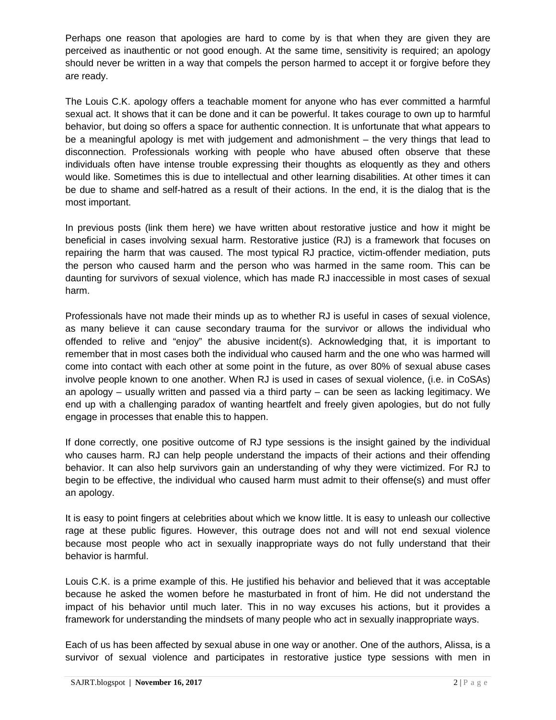Perhaps one reason that apologies are hard to come by is that when they are given they are perceived as inauthentic or not good enough. At the same time, sensitivity is required; an apology should never be written in a way that compels the person harmed to accept it or forgive before they are ready.

The Louis C.K. apology offers a teachable moment for anyone who has ever committed a harmful sexual act. It shows that it can be done and it can be powerful. It takes courage to own up to harmful behavior, but doing so offers a space for authentic connection. It is unfortunate that what appears to be a meaningful apology is met with judgement and admonishment – the very things that lead to disconnection. Professionals working with people who have abused often observe that these individuals often have intense trouble expressing their thoughts as eloquently as they and others would like. Sometimes this is due to intellectual and other learning disabilities. At other times it can be due to shame and self-hatred as a result of their actions. In the end, it is the dialog that is the most important.

In previous posts (link them here) we have written about restorative justice and how it might be beneficial in cases involving sexual harm. Restorative justice (RJ) is a framework that focuses on repairing the harm that was caused. The most typical RJ practice, victim-offender mediation, puts the person who caused harm and the person who was harmed in the same room. This can be daunting for survivors of sexual violence, which has made RJ inaccessible in most cases of sexual harm.

Professionals have not made their minds up as to whether RJ is useful in cases of sexual violence, as many believe it can cause secondary trauma for the survivor or allows the individual who offended to relive and "enjoy" the abusive incident(s). Acknowledging that, it is important to remember that in most cases both the individual who caused harm and the one who was harmed will come into contact with each other at some point in the future, as over 80% of sexual abuse cases involve people known to one another. When RJ is used in cases of sexual violence, (i.e. in CoSAs) an apology – usually written and passed via a third party – can be seen as lacking legitimacy. We end up with a challenging paradox of wanting heartfelt and freely given apologies, but do not fully engage in processes that enable this to happen.

If done correctly, one positive outcome of RJ type sessions is the insight gained by the individual who causes harm. RJ can help people understand the impacts of their actions and their offending behavior. It can also help survivors gain an understanding of why they were victimized. For RJ to begin to be effective, the individual who caused harm must admit to their offense(s) and must offer an apology.

It is easy to point fingers at celebrities about which we know little. It is easy to unleash our collective rage at these public figures. However, this outrage does not and will not end sexual violence because most people who act in sexually inappropriate ways do not fully understand that their behavior is harmful.

Louis C.K. is a prime example of this. He justified his behavior and believed that it was acceptable because he asked the women before he masturbated in front of him. He did not understand the impact of his behavior until much later. This in no way excuses his actions, but it provides a framework for understanding the mindsets of many people who act in sexually inappropriate ways.

Each of us has been affected by sexual abuse in one way or another. One of the authors, Alissa, is a survivor of sexual violence and participates in restorative justice type sessions with men in